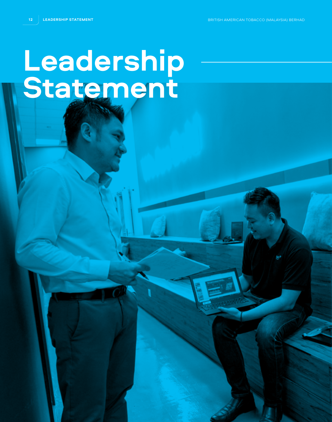**12 LEADERSHIP STATEMENT** BRITISH AMERICAN TOBACCO (MALAYSIA) BERHAD

## **Leadership Statement**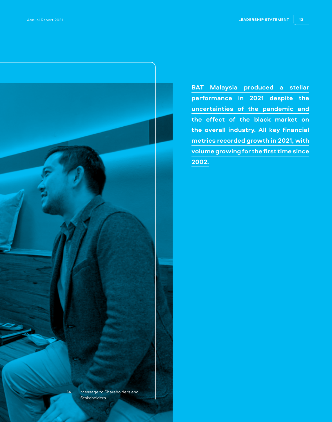

**BAT Malaysia produced a stellar performance in 2021 despite the uncertainties of the pandemic and the effect of the black market on the overall industry. All key financial metrics recorded growth in 2021, with volume growing for the first time since 2002.**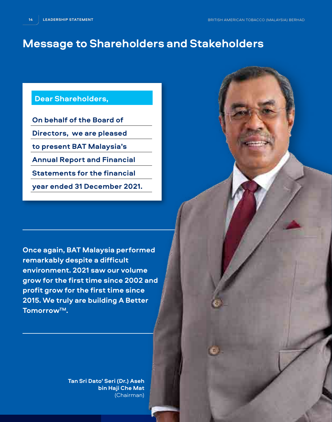## **Message to Shareholders and Stakeholders**

## **Dear Shareholders,**

**On behalf of the Board of** 

**Directors, we are pleased** 

**to present BAT Malaysia's** 

**Annual Report and Financial** 

**Statements for the financial** 

**year ended 31 December 2021.**

**Once again, BAT Malaysia performed remarkably despite a difficult environment. 2021 saw our volume grow for the first time since 2002 and profit grow for the first time since 2015. We truly are building A Better TomorrowTM.**

> **Tan Sri Dato' Seri (Dr.) Aseh bin Haji Che Mat**  (Chairman)